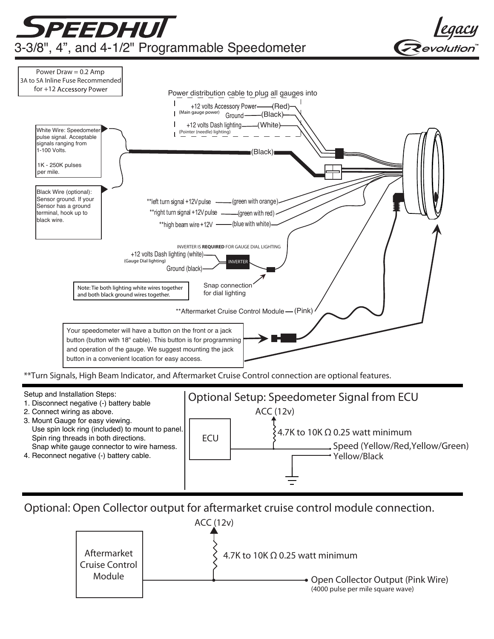

Optional: Open Collector output for aftermarket cruise control module connection.

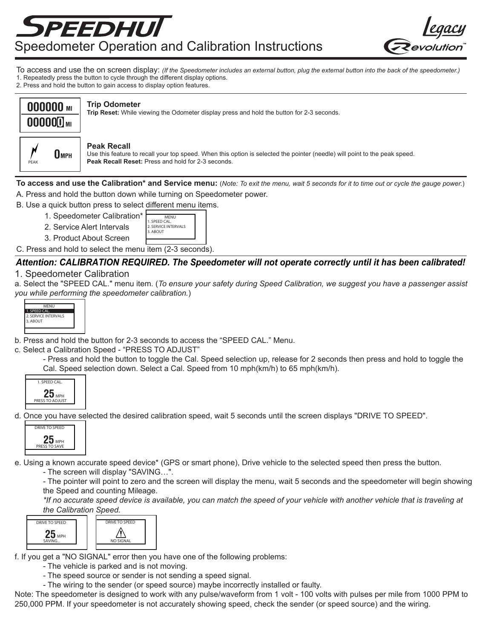



- To access and use the on screen display: *(If the Speedometer includes an external button, plug the external button into the back of the speedometer.)* 1. Repeatedly press the button to cycle through the different display options.
- 2. Press and hold the button to gain access to display option features.



## **Trip Odometer**

**Trip Reset:** While viewing the Odometer display press and hold the button for 2-3 seconds.



#### **Peak Recall**

Use this feature to recall your top speed. When this option is selected the pointer (needle) will point to the peak speed. **Peak Recall Reset:** Press and hold for 2-3 seconds.

- **To access and use the Calibration\* and Service menu:** (*Note: To exit the menu, wait 5 seconds for it to time out or cycle the gauge power.*) A. Press and hold the button down while turning on Speedometer power.
- B. Use a quick button press to select different menu items.
	- 1. Speedometer Calibration\*
	- 2. Service Alert Intervals
	- 2. SERVICE INTERVALS 3. ABOUT 3. Product About Screen

1. SPEED CAL. MENU

C. Press and hold to select the menu item (2-3 seconds).

# *Attention: CALIBRATION REQUIRED. The Speedometer will not operate correctly until it has been calibrated!*

# 1. Speedometer Calibration

a. Select the "SPEED CAL." menu item. (*To ensure your safety during Speed Calibration, we suggest you have a passenger assist you while performing the speedometer calibration.*)



b. Press and hold the button for 2-3 seconds to access the "SPEED CAL." Menu.

c. Select a Calibration Speed - "PRESS TO ADJUST"

- Press and hold the button to toggle the Cal. Speed selection up, release for 2 seconds then press and hold to toggle the Cal. Speed selection down. Select a Cal. Speed from 10 mph(km/h) to 65 mph(km/h).



d. Once you have selected the desired calibration speed, wait 5 seconds until the screen displays "DRIVE TO SPEED".



e. Using a known accurate speed device\* (GPS or smart phone), Drive vehicle to the selected speed then press the button.

- The screen will display "SAVING…".

- The pointer will point to zero and the screen will display the menu, wait 5 seconds and the speedometer will begin showing the Speed and counting Mileage.

*\*If no accurate speed device is available, you can match the speed of your vehicle with another vehicle that is traveling at the Calibration Speed.* 

| <b>DRIVE TO SPEED</b> | <b>DRIVE TO SPEED</b> |
|-----------------------|-----------------------|
| <b>MPH</b><br>SAVING  | <b>NO SIGNAL</b>      |

f. If you get a "NO SIGNAL" error then you have one of the following problems:

- The vehicle is parked and is not moving.

- The speed source or sender is not sending a speed signal.

- The wiring to the sender (or speed source) maybe incorrectly installed or faulty.

Note: The speedometer is designed to work with any pulse/waveform from 1 volt - 100 volts with pulses per mile from 1000 PPM to 250,000 PPM. If your speedometer is not accurately showing speed, check the sender (or speed source) and the wiring.